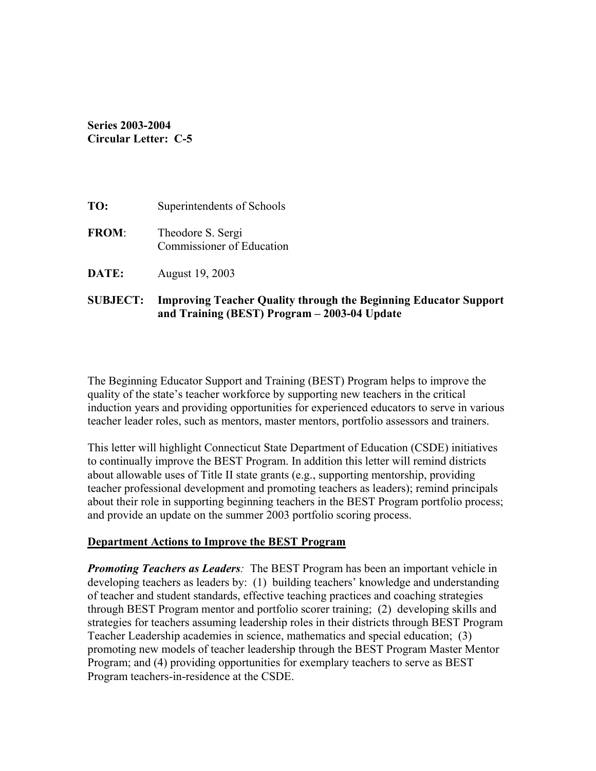# **Series 2003-2004 Circular Letter: C-5**

| TO:          | Superintendents of Schools                     |
|--------------|------------------------------------------------|
| <b>FROM:</b> | Theodore S. Sergi<br>Commissioner of Education |
| DATE:        | August 19, 2003                                |

# **SUBJECT: Improving Teacher Quality through the Beginning Educator Support and Training (BEST) Program – 2003-04 Update**

The Beginning Educator Support and Training (BEST) Program helps to improve the quality of the state's teacher workforce by supporting new teachers in the critical induction years and providing opportunities for experienced educators to serve in various teacher leader roles, such as mentors, master mentors, portfolio assessors and trainers.

This letter will highlight Connecticut State Department of Education (CSDE) initiatives to continually improve the BEST Program. In addition this letter will remind districts about allowable uses of Title II state grants (e.g., supporting mentorship, providing teacher professional development and promoting teachers as leaders); remind principals about their role in supporting beginning teachers in the BEST Program portfolio process; and provide an update on the summer 2003 portfolio scoring process.

## **Department Actions to Improve the BEST Program**

*Promoting Teachers as Leaders:* The BEST Program has been an important vehicle in developing teachers as leaders by: (1) building teachers' knowledge and understanding of teacher and student standards, effective teaching practices and coaching strategies through BEST Program mentor and portfolio scorer training; (2) developing skills and strategies for teachers assuming leadership roles in their districts through BEST Program Teacher Leadership academies in science, mathematics and special education; (3) promoting new models of teacher leadership through the BEST Program Master Mentor Program; and (4) providing opportunities for exemplary teachers to serve as BEST Program teachers-in-residence at the CSDE.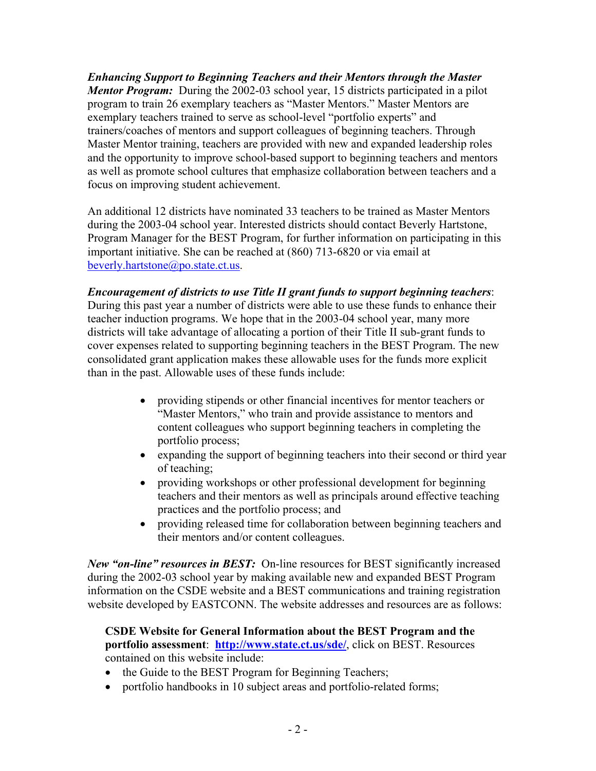*Enhancing Support to Beginning Teachers and their Mentors through the Master Mentor Program:* During the 2002-03 school year, 15 districts participated in a pilot program to train 26 exemplary teachers as "Master Mentors." Master Mentors are exemplary teachers trained to serve as school-level "portfolio experts" and trainers/coaches of mentors and support colleagues of beginning teachers. Through Master Mentor training, teachers are provided with new and expanded leadership roles and the opportunity to improve school-based support to beginning teachers and mentors as well as promote school cultures that emphasize collaboration between teachers and a focus on improving student achievement.

An additional 12 districts have nominated 33 teachers to be trained as Master Mentors during the 2003-04 school year. Interested districts should contact Beverly Hartstone, Program Manager for the BEST Program, for further information on participating in this important initiative. She can be reached at (860) 713-6820 or via email at beverly.hartstone@po.state.ct.us.

*Encouragement of districts to use Title II grant funds to support beginning teachers*: During this past year a number of districts were able to use these funds to enhance their teacher induction programs. We hope that in the 2003-04 school year, many more districts will take advantage of allocating a portion of their Title II sub-grant funds to cover expenses related to supporting beginning teachers in the BEST Program. The new consolidated grant application makes these allowable uses for the funds more explicit than in the past. Allowable uses of these funds include:

- providing stipends or other financial incentives for mentor teachers or "Master Mentors," who train and provide assistance to mentors and content colleagues who support beginning teachers in completing the portfolio process;
- expanding the support of beginning teachers into their second or third year of teaching;
- providing workshops or other professional development for beginning teachers and their mentors as well as principals around effective teaching practices and the portfolio process; and
- providing released time for collaboration between beginning teachers and their mentors and/or content colleagues.

*New "on-line" resources in BEST:* On-line resources for BEST significantly increased during the 2002-03 school year by making available new and expanded BEST Program information on the CSDE website and a BEST communications and training registration website developed by EASTCONN. The website addresses and resources are as follows:

## **CSDE Website for General Information about the BEST Program and the portfolio assessment**: **http://www.state.ct.us/sde/**, click on BEST. Resources contained on this website include:

- the Guide to the BEST Program for Beginning Teachers;
- portfolio handbooks in 10 subject areas and portfolio-related forms;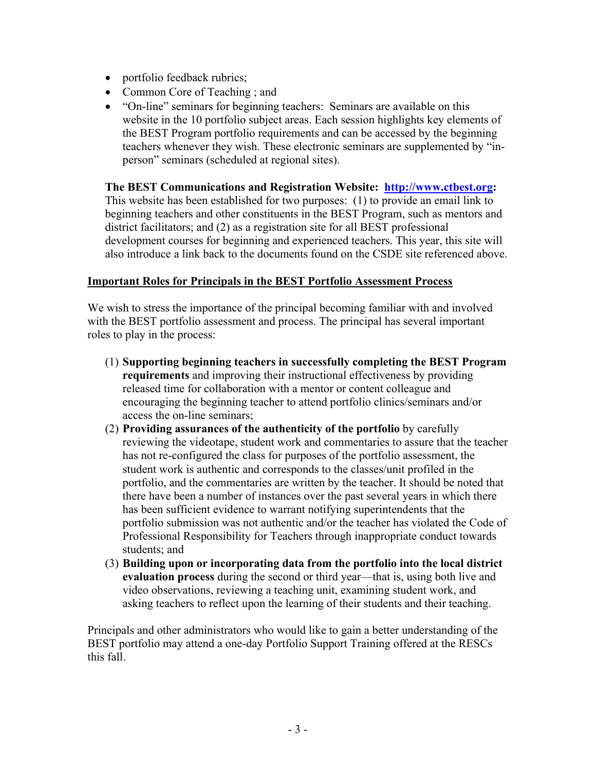- portfolio feedback rubrics;
- Common Core of Teaching : and
- "On-line" seminars for beginning teachers: Seminars are available on this website in the 10 portfolio subject areas. Each session highlights key elements of the BEST Program portfolio requirements and can be accessed by the beginning teachers whenever they wish. These electronic seminars are supplemented by "inperson" seminars (scheduled at regional sites).

### **The BEST Communications and Registration Website: http://www.ctbest.org:**

This website has been established for two purposes: (1) to provide an email link to beginning teachers and other constituents in the BEST Program, such as mentors and district facilitators; and (2) as a registration site for all BEST professional development courses for beginning and experienced teachers. This year, this site will also introduce a link back to the documents found on the CSDE site referenced above.

## **Important Roles for Principals in the BEST Portfolio Assessment Process**

We wish to stress the importance of the principal becoming familiar with and involved with the BEST portfolio assessment and process. The principal has several important roles to play in the process:

- (1) **Supporting beginning teachers in successfully completing the BEST Program requirements** and improving their instructional effectiveness by providing released time for collaboration with a mentor or content colleague and encouraging the beginning teacher to attend portfolio clinics/seminars and/or access the on-line seminars;
- (2) **Providing assurances of the authenticity of the portfolio** by carefully reviewing the videotape, student work and commentaries to assure that the teacher has not re-configured the class for purposes of the portfolio assessment, the student work is authentic and corresponds to the classes/unit profiled in the portfolio, and the commentaries are written by the teacher. It should be noted that there have been a number of instances over the past several years in which there has been sufficient evidence to warrant notifying superintendents that the portfolio submission was not authentic and/or the teacher has violated the Code of Professional Responsibility for Teachers through inappropriate conduct towards students; and
- (3) **Building upon or incorporating data from the portfolio into the local district evaluation process** during the second or third year—that is, using both live and video observations, reviewing a teaching unit, examining student work, and asking teachers to reflect upon the learning of their students and their teaching.

Principals and other administrators who would like to gain a better understanding of the BEST portfolio may attend a one-day Portfolio Support Training offered at the RESCs this fall.